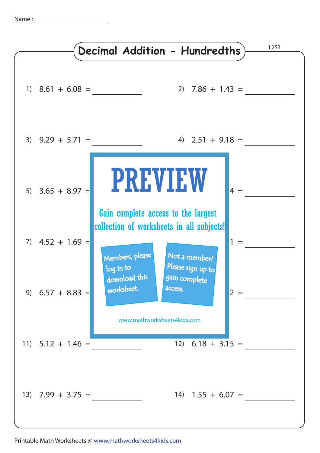